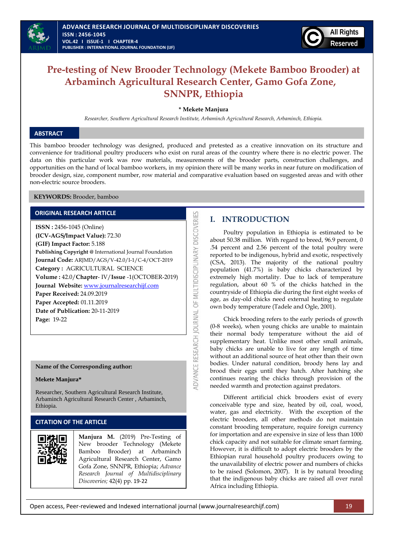



# **Pre-testing of New Brooder Technology (Mekete Bamboo Brooder) at Arbaminch Agricultural Research Center, Gamo Gofa Zone, SNNPR, Ethiopia**

**\* Mekete Manjura**

*Researcher, Southern Agricultural Research Institute, Arbaminch Agricultural Research, Arbaminch, Ethiopia.*

### **ABSTRACT**

This bamboo brooder technology was designed, produced and pretested as a creative innovation on its structure and convenience for traditional poultry producers who exist on rural areas of the country where there is no electric power. The data on this particular work was row materials, measurements of the brooder parts, construction challenges, and opportunities on the hand of local bamboo workers, in my opinion there will be many works in near future on modification of brooder design, size, component number, row material and comparative evaluation based on suggested areas and with other non-electric source brooders.

ADVANCE RESEARCH JOURNAL OF MULTIDISCIPLINARY DISCOVERIES

**KEYWORDS:** Brooder, bamboo

### **ORIGINAL RESEARCH ARTICLE**

**ISSN :** 2456-1045 (Online) **(ICV-AGS/Impact Value):** 72.30 **(GIF) Impact Factor:** 5.188 **Publishing Copyright @** International Journal Foundation **Journal Code:** ARJMD/AGS/V-42.0/I-1/C-4/OCT-2019 **Category :** AGRICULTURAL SCIENCE **Volume :** 42.0/**Chapter**- IV/**Issue** -1(OCTOBER-2019) **Journal Website:** [www.journalresearchijf.com](http://www.journalresearchijf.com/) **Paper Received:** 24.09.2019 **Paper Accepted:** 01.11.2019 **Date of Publication:** 20-11-2019 **Page:** 19-22

### **Name of the Corresponding author:**

### **Mekete Manjura\***

Researcher, Southern Agricultural Research Institute, Arbaminch Agricultural Research Center , Arbaminch, Ethiopia.

# **CITATION OF THE ARTICLE**



# **I. INTRODUCTION**

Poultry population in Ethiopia is estimated to be about 50.38 million. With regard to breed, 96.9 percent, 0 .54 percent and 2.56 percent of the total poultry were reported to be indigenous, hybrid and exotic, respectively (CSA, 2013). The majority of the national poultry population (41.7%) is baby chicks characterized by extremely high mortality. Due to lack of temperature regulation, about 60 % of the chicks hatched in the countryside of Ethiopia die during the first eight weeks of age, as day-old chicks need external heating to regulate own body temperature (Tadele and Ogle, 2001).

Chick brooding refers to the early periods of growth (0-8 weeks), when young chicks are unable to maintain their normal body temperature without the aid of supplementary heat. Unlike most other small animals, baby chicks are unable to live for any length of time without an additional source of heat other than their own bodies. Under natural condition, broody hens lay and brood their eggs until they hatch. After hatching she continues rearing the chicks through provision of the needed warmth and protection against predators.

Different artificial chick brooders exist of every conceivable type and size, heated by oil, coal, wood, water, gas and electricity. With the exception of the electric brooders, all other methods do not maintain constant brooding temperature, require foreign currency for importation and are expensive in size of less than 1000 chick capacity and not suitable for climate smart farming. However, it is difficult to adopt electric brooders by the Ethiopian rural household poultry producers owing to the unavailability of electric power and numbers of chicks to be raised (Solomon, 2007). It is by natural brooding that the indigenous baby chicks are raised all over rural Africa including Ethiopia.

Open access, Peer-reviewed and Indexed international journal (www.journalresearchijf.com) 19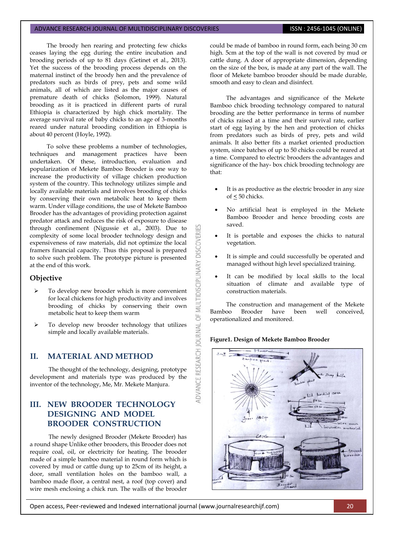### ADVANCE RESEARCH JOURNAL OF MULTIDISCIPLINARY DISCOVERIES **ISSN : 2456-1045 (ONLINE)**

The broody hen rearing and protecting few chicks ceases laying the egg during the entire incubation and brooding periods of up to 81 days (Getinet et al., 2013). Yet the success of the brooding process depends on the maternal instinct of the broody hen and the prevalence of predators such as birds of prey, pets and some wild animals, all of which are listed as the major causes of premature death of chicks (Solomon, 1999). Natural brooding as it is practiced in different parts of rural Ethiopia is characterized by high chick mortality. The average survival rate of baby chicks to an age of 3-months reared under natural brooding condition in Ethiopia is about 40 percent (Hoyle, 1992).

To solve these problems a number of technologies, techniques and management practices have been undertaken. Of these, introduction, evaluation and popularization of Mekete Bamboo Brooder is one way to increase the productivity of village chicken production system of the country. This technology utilizes simple and locally available materials and involves brooding of chicks by conserving their own metabolic heat to keep them warm. Under village conditions, the use of Mekete Bamboo Brooder has the advantages of providing protection against predator attack and reduces the risk of exposure to disease through confinement (Nigussie et al., 2003). Due to complexity of some local brooder technology design and expensiveness of raw materials, did not optimize the local framers financial capacity. Thus this proposal is prepared to solve such problem. The prototype picture is presented at the end of this work.

### **Objective**

- To develop new brooder which is more convenient for local chickens for high productivity and involves brooding of chicks by conserving their own metabolic heat to keep them warm
- > To develop new brooder technology that utilizes simple and locally available materials.

## **II. MATERIAL AND METHOD**

The thought of the technology, designing, prototype development and materials type was produced by the inventor of the technology, Me, Mr. Mekete Manjura.

# **III. NEW BROODER TECHNOLOGY DESIGNING AND MODEL BROODER CONSTRUCTION**

The newly designed Brooder (Mekete Brooder) has a round shape Unlike other brooders, this Brooder does not require coal, oil, or electricity for heating. The brooder made of a simple bamboo material in round form which is covered by mud or cattle dung up to 25cm of its height, a door, small ventilation holes on the bamboo wall, a bamboo made floor, a central nest, a roof (top cover) and wire mesh enclosing a chick run. The walls of the brooder

could be made of bamboo in round form, each being 30 cm high. 5cm at the top of the wall is not covered by mud or cattle dung. A door of appropriate dimension, depending on the size of the box, is made at any part of the wall. The floor of Mekete bamboo brooder should be made durable, smooth and easy to clean and disinfect.

The advantages and significance of the Mekete Bamboo chick brooding technology compared to natural brooding are the better performance in terms of number of chicks raised at a time and their survival rate, earlier start of egg laying by the hen and protection of chicks from predators such as birds of prey, pets and wild animals. It also better fits a market oriented production system, since batches of up to 50 chicks could be reared at a time. Compared to electric brooders the advantages and significance of the hay- box chick brooding technology are that:

- It is as productive as the electric brooder in any size of < 50 chicks.
- No artificial heat is employed in the Mekete Bamboo Brooder and hence brooding costs are saved.
- It is portable and exposes the chicks to natural vegetation.
- It is simple and could successfully be operated and managed without high level specialized training.
- It can be modified by local skills to the local situation of climate and available type of construction materials.

The construction and management of the Mekete Bamboo Brooder have been well conceived, operationalized and monitored.

### **Figure1. Design of Mekete Bamboo Brooder**

MULTIDISCIPLINARY DISCOVERI

5F

**IDVANCE RESEARCH JOURNAL** 



Open access, Peer-reviewed and Indexed international journal (www.journalresearchijf.com) 20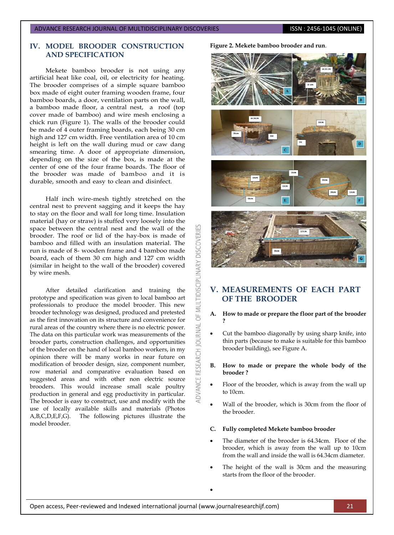# **IV. MODEL BROODER CONSTRUCTION AND SPECIFICATION**

Mekete bamboo brooder is not using any artificial heat like coal, oil, or electricity for heating. The brooder comprises of a simple square bamboo box made of eight outer framing wooden frame, four bamboo boards, a door, ventilation parts on the wall, a bamboo made floor, a central nest, a roof (top cover made of bamboo) and wire mesh enclosing a chick run (Figure 1). The walls of the brooder could be made of 4 outer framing boards, each being 30 cm high and 127 cm width. Free ventilation area of 10 cm height is left on the wall during mud or caw dang smearing time. A door of appropriate dimension, depending on the size of the box, is made at the center of one of the four frame boards. The floor of the brooder was made of bamboo and it is durable, smooth and easy to clean and disinfect.

Half inch wire-mesh tightly stretched on the central nest to prevent sagging and it keeps the hay to stay on the floor and wall for long time. Insulation material (hay or straw) is stuffed very loosely into the space between the central nest and the wall of the brooder. The roof or lid of the hay-box is made of bamboo and filled with an insulation material. The run is made of 8- wooden frame and 4 bamboo made board, each of them 30 cm high and 127 cm width (similar in height to the wall of the brooder) covered by wire mesh.

After detailed clarification and training the prototype and specification was given to local bamboo art professionals to produce the model brooder. This new brooder technology was designed, produced and pretested as the first innovation on its structure and convenience for rural areas of the country where there is no electric power. The data on this particular work was measurements of the brooder parts, construction challenges, and opportunities of the brooder on the hand of local bamboo workers, in my opinion there will be many works in near future on modification of brooder design, size, component number, row material and comparative evaluation based on suggested areas and with other non electric source brooders. This would increase small scale poultry production in general and egg productivity in particular. The brooder is easy to construct, use and modify with the use of locally available skills and materials (Photos A,B,C,D,E,F,G). The following pictures illustrate the model brooder.



# **V. MEASUREMENTS OF EACH PART OF THE BROODER**

### **A. How to made or prepare the floor part of the brooder ?**

- Cut the bamboo diagonally by using sharp knife, into thin parts (because to make is suitable for this bamboo brooder building), see Figure A.
- **B. How to made or prepare the whole body of the brooder ?**
- Floor of the brooder, which is away from the wall up to 10cm.
- Wall of the brooder, which is 30cm from the floor of the brooder.
- **C. Fully completed Mekete bamboo brooder**
- The diameter of the brooder is 64.34cm. Floor of the brooder, which is away from the wall up to 10cm from the wall and inside the wall is 64.34cm diameter.
- The height of the wall is 30cm and the measuring starts from the floor of the brooder.

 $\bullet$ 

**DISCOVERI** 

OF MULTIDISCIPLINARY

JOURNAL

ADVANCE RESEARCH